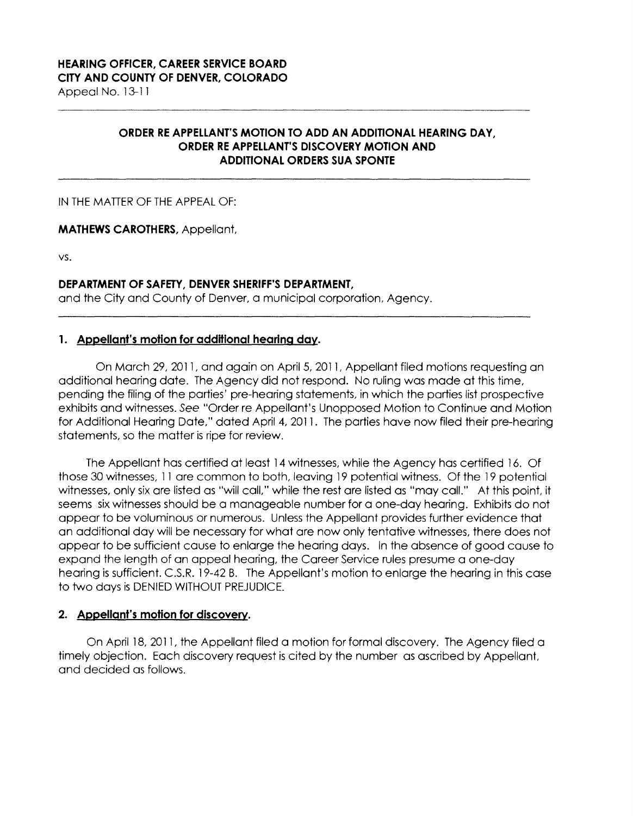## **ORDER RE APPELLANT'S MOTION TO ADD AN ADDITIONAL HEARING DAY, ORDER RE APPELLANT'S DISCOVERY MOTION AND ADDITIONAL ORDERS SUA SPONTE**

## IN THE MATTER OF THE APPEAL OF:

## **MATHEWS CAROTHERS,** Appellant,

VS.

## **DEPARTMENT OF SAFETY, DENVER SHERIFF'S DEPARTMENT,**

and the City and County of Denver, a municipal corporation, Agency.

## **1. Appellant's motion for additional hearing dav.**

On March 29, 2011, and again on April 5, 2011, Appellant filed motions requesting an additional hearing date. The Agency did not respond. No ruling was made at this time, pending the filing of the parties' pre-hearing statements, in which the parties list prospective exhibits and witnesses. See "Order re Appellant's Unopposed Motion to Continue and Motion for Additional Hearing Date," dated April 4, 2011. The parties have now filed their pre-hearing statements, so the matter is ripe for review.

The Appellant has certified at least 14 witnesses, while the Agency has certified 16. Of those 30 witnesses, 11 are common to both, leaving 19 potential witness. Of the 19 potential witnesses, only six are listed as "will call," while the rest are listed as "may call." At this point, it seems six witnesses should be a manageable number for a one-day hearing. Exhibits do not appear to be voluminous or numerous. Unless the Appellant provides further evidence that an additional day will be necessary for what are now only tentative witnesses, there does not appear to be sufficient cause to enlarge the hearing days. In the absence of good cause to expand the length of an appeal hearing, the Career Service rules presume a one-day hearing is sufficient. C.S.R. 19-42 B. The Appellant's motion to enlarge the hearing in this case to two days is DENIED WITHOUT PREJUDICE.

#### **2. Appellant's motion for discoverv.**

On April 18, 2011, the Appellant filed a motion for formal discovery. The Agency filed a timely objection. Each discovery request is cited by the number as ascribed by Appellant, and decided as follows.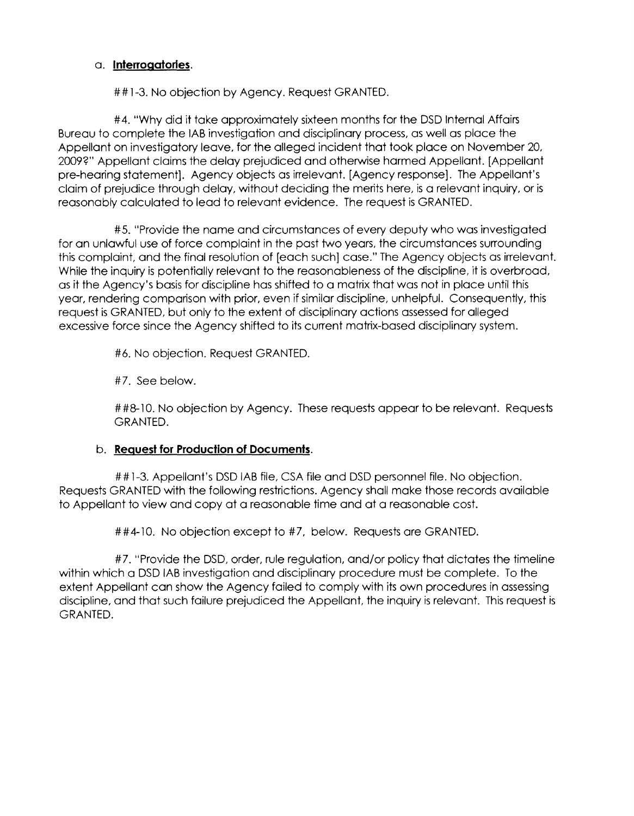## a. **Interrogatories.**

##1-3. No objection by Agency. Request GRANTED.

#4. "Why did it take approximately sixteen months for the DSD Internal Affairs Bureau to complete the IAB investigation and disciplinary process, as well as place the Appellant on investigatory leave, for the alleged incident that took place on November 20, 2009?" Appellant claims the delay prejudiced and otherwise harmed Appellant. [Appellant pre-hearing statement]. Agency objects as irrelevant. [Agency response]. The Appellant's claim of prejudice through delay, without deciding the merits here, is a relevant inquiry, or is reasonably calculated to lead to relevant evidence. The request is GRANTED.

#5. "Provide the name and circumstances of every deputy who was investigated for an unlawful use of force complaint in the past two years, the circumstances surrounding this complaint, and the final resolution of [each such] case." The Agency objects as irrelevant. While the inquiry is potentially relevant to the reasonableness of the discipline, it is overbroad, as it the Agency's basis for discipline has shifted to a matrix that was not in place until this year, rendering comparison with prior, even if similar discipline, unhelpful. Consequently, this request is GRANTED, but only to the extent of disciplinary actions assessed for alleged excessive force since the Agency shifted to its current matrix-based disciplinary system.

#6. No objection. Request GRANTED.

#7. See below.

##8-10. No objection by Agency. These requests appear to be relevant. Requests GRANTED.

# b. **Request for Production of Documents.**

##1-3. Appellant's DSD IAB file, CSA file and DSD personnel file. No objection. Requests GRANTED with the following restrictions. Agency shall make those records available to Appellant to view and copy at a reasonable time and at a reasonable cost.

##4-10. No objection except to #7, below. Requests are GRANTED.

#7. "Provide the DSD, order, rule regulation, and/or policy that dictates the timeline within which a DSD IAB investigation and disciplinary procedure must be complete. To the extent Appellant can show the Agency failed to comply with its own procedures in assessing discipline, and that such failure prejudiced the Appellant, the inquiry is relevant. This request is GRANTED.